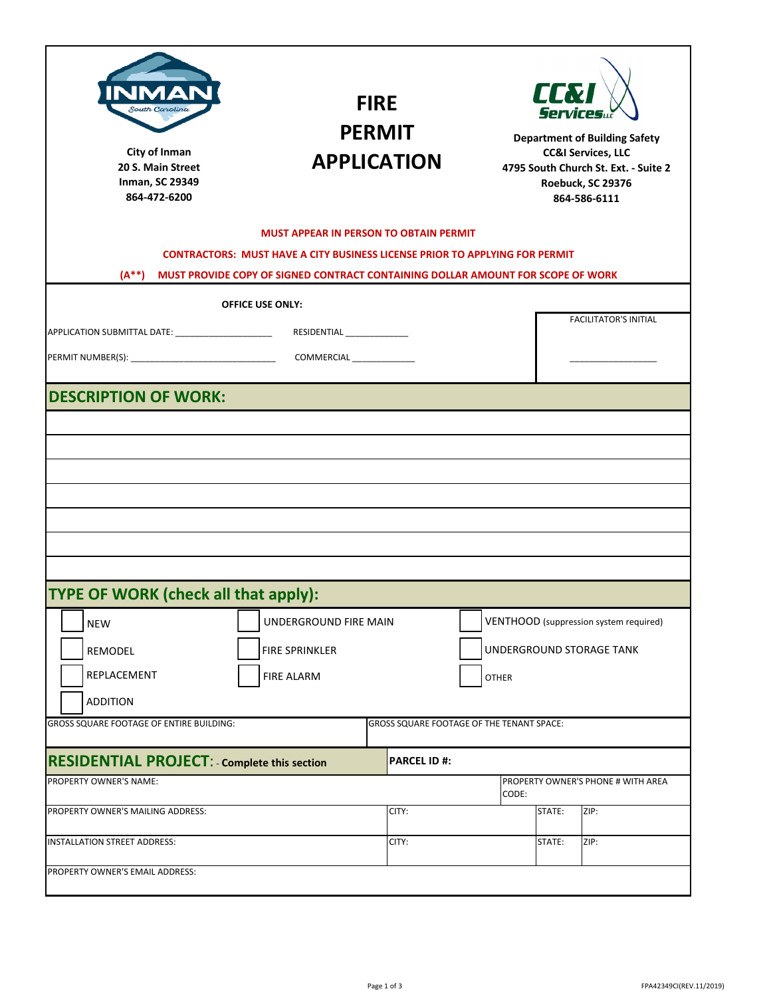| Д<br>South Carolina<br>City of Inman<br>20 S. Main Street<br><b>Inman, SC 29349</b><br>864-472-6200                       | <b>FIRE</b><br><b>PERMIT</b><br><b>APPLICATION</b>                                                                                                                    | <b>II.V</b><br><b>Services</b><br><b>Department of Building Safety</b><br><b>CC&amp;I Services, LLC</b><br>4795 South Church St. Ext. - Suite 2<br>Roebuck, SC 29376<br>864-586-6111 |
|---------------------------------------------------------------------------------------------------------------------------|-----------------------------------------------------------------------------------------------------------------------------------------------------------------------|--------------------------------------------------------------------------------------------------------------------------------------------------------------------------------------|
|                                                                                                                           | <b>MUST APPEAR IN PERSON TO OBTAIN PERMIT</b>                                                                                                                         |                                                                                                                                                                                      |
| $(A^{**})$                                                                                                                | <b>CONTRACTORS: MUST HAVE A CITY BUSINESS LICENSE PRIOR TO APPLYING FOR PERMIT</b><br>MUST PROVIDE COPY OF SIGNED CONTRACT CONTAINING DOLLAR AMOUNT FOR SCOPE OF WORK |                                                                                                                                                                                      |
|                                                                                                                           | <b>OFFICE USE ONLY:</b>                                                                                                                                               |                                                                                                                                                                                      |
| APPLICATION SUBMITTAL DATE: _______________________                                                                       | RESIDENTIAL ________________                                                                                                                                          | <b>FACILITATOR'S INITIAL</b>                                                                                                                                                         |
|                                                                                                                           |                                                                                                                                                                       |                                                                                                                                                                                      |
|                                                                                                                           |                                                                                                                                                                       |                                                                                                                                                                                      |
|                                                                                                                           |                                                                                                                                                                       |                                                                                                                                                                                      |
| <b>DESCRIPTION OF WORK:</b><br>TYPE OF WORK (check all that apply):                                                       |                                                                                                                                                                       | VENTHOOD (suppression system required)                                                                                                                                               |
| <b>NEW</b><br>REMODEL<br>REPLACEMENT                                                                                      | UNDERGROUND FIRE MAIN<br><b>FIRE SPRINKLER</b><br><b>FIRE ALARM</b>                                                                                                   | UNDERGROUND STORAGE TANK<br><b>OTHER</b>                                                                                                                                             |
| <b>ADDITION</b>                                                                                                           |                                                                                                                                                                       |                                                                                                                                                                                      |
|                                                                                                                           | GROSS SQUARE FOOTAGE OF THE TENANT SPACE:                                                                                                                             |                                                                                                                                                                                      |
|                                                                                                                           | <b>PARCEL ID#:</b>                                                                                                                                                    |                                                                                                                                                                                      |
| GROSS SQUARE FOOTAGE OF ENTIRE BUILDING:<br><b>RESIDENTIAL PROJECT: - Complete this section</b><br>PROPERTY OWNER'S NAME: |                                                                                                                                                                       | PROPERTY OWNER'S PHONE # WITH AREA<br>CODE:                                                                                                                                          |
| PROPERTY OWNER'S MAILING ADDRESS:                                                                                         | CITY:                                                                                                                                                                 | ZIP:<br>STATE:                                                                                                                                                                       |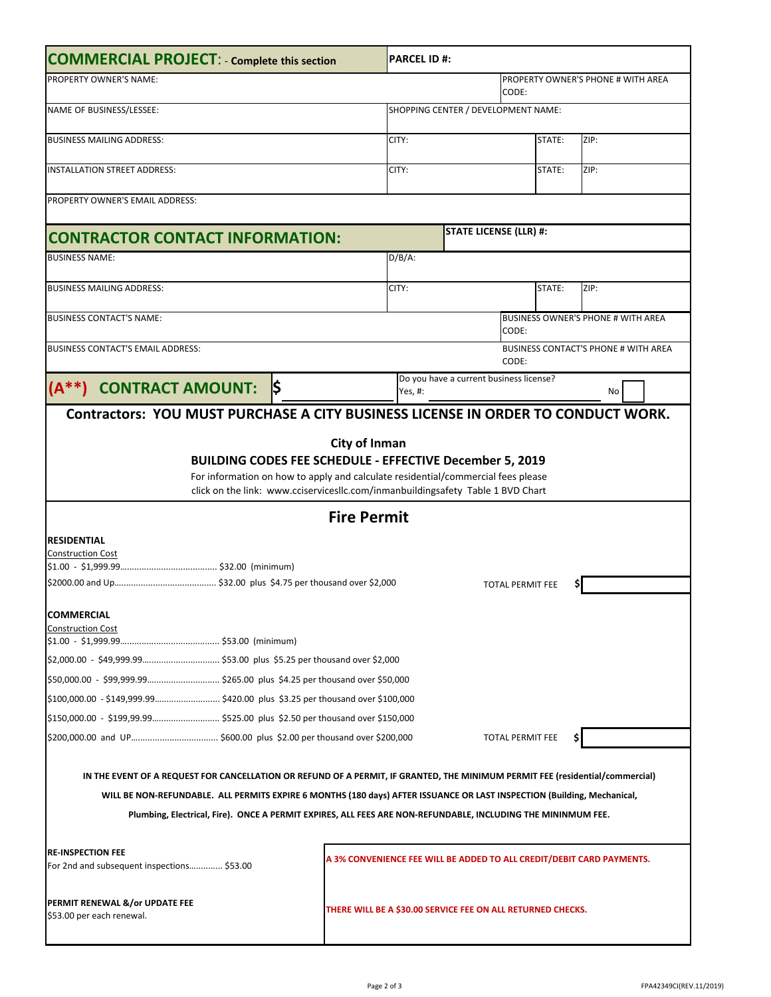| <b>COMMERCIAL PROJECT: - Complete this section</b>                                                                                                                                                                                                                                                                                                                       |                                 |                    | <b>PARCEL ID#:</b>                                          |                                                                       |        |                                             |
|--------------------------------------------------------------------------------------------------------------------------------------------------------------------------------------------------------------------------------------------------------------------------------------------------------------------------------------------------------------------------|---------------------------------|--------------------|-------------------------------------------------------------|-----------------------------------------------------------------------|--------|---------------------------------------------|
| <b>PROPERTY OWNER'S NAME:</b>                                                                                                                                                                                                                                                                                                                                            |                                 |                    |                                                             | CODE:                                                                 |        | PROPERTY OWNER'S PHONE # WITH AREA          |
| NAME OF BUSINESS/LESSEE:                                                                                                                                                                                                                                                                                                                                                 |                                 |                    | SHOPPING CENTER / DEVELOPMENT NAME:                         |                                                                       |        |                                             |
| <b>BUSINESS MAILING ADDRESS:</b>                                                                                                                                                                                                                                                                                                                                         |                                 |                    | CITY:                                                       |                                                                       | STATE: | ZIP:                                        |
| <b>INSTALLATION STREET ADDRESS:</b>                                                                                                                                                                                                                                                                                                                                      |                                 |                    | CITY:                                                       |                                                                       | STATE: | ZIP:                                        |
| PROPERTY OWNER'S EMAIL ADDRESS:                                                                                                                                                                                                                                                                                                                                          |                                 |                    |                                                             |                                                                       |        |                                             |
| <b>CONTRACTOR CONTACT INFORMATION:</b>                                                                                                                                                                                                                                                                                                                                   |                                 |                    |                                                             | <b>STATE LICENSE (LLR) #:</b>                                         |        |                                             |
| <b>BUSINESS NAME:</b>                                                                                                                                                                                                                                                                                                                                                    |                                 |                    | $D/B/A$ :                                                   |                                                                       |        |                                             |
|                                                                                                                                                                                                                                                                                                                                                                          |                                 |                    |                                                             |                                                                       |        |                                             |
| <b>BUSINESS MAILING ADDRESS:</b>                                                                                                                                                                                                                                                                                                                                         |                                 |                    | CITY:                                                       |                                                                       | STATE: | ZIP:                                        |
| <b>BUSINESS CONTACT'S NAME:</b>                                                                                                                                                                                                                                                                                                                                          |                                 |                    |                                                             | CODE:                                                                 |        | <b>BUSINESS OWNER'S PHONE # WITH AREA</b>   |
| <b>BUSINESS CONTACT'S EMAIL ADDRESS:</b>                                                                                                                                                                                                                                                                                                                                 |                                 |                    |                                                             | CODE:                                                                 |        | <b>BUSINESS CONTACT'S PHONE # WITH AREA</b> |
| <b>CONTRACT AMOUNT:</b>                                                                                                                                                                                                                                                                                                                                                  | $\overline{\boldsymbol{\zeta}}$ |                    | Yes, #:                                                     | Do you have a current business license?                               |        | No                                          |
| City of Inman<br><b>BUILDING CODES FEE SCHEDULE - EFFECTIVE December 5, 2019</b><br>For information on how to apply and calculate residential/commercial fees please<br>click on the link: www.cciservicesllc.com/inmanbuildingsafety Table 1 BVD Chart                                                                                                                  |                                 |                    |                                                             |                                                                       |        |                                             |
|                                                                                                                                                                                                                                                                                                                                                                          |                                 | <b>Fire Permit</b> |                                                             |                                                                       |        |                                             |
| <b>RESIDENTIAL</b>                                                                                                                                                                                                                                                                                                                                                       |                                 |                    |                                                             |                                                                       |        |                                             |
| <b>Construction Cost</b>                                                                                                                                                                                                                                                                                                                                                 |                                 |                    |                                                             |                                                                       |        |                                             |
|                                                                                                                                                                                                                                                                                                                                                                          |                                 |                    |                                                             | <b>TOTAL PERMIT FEE</b>                                               |        |                                             |
| <b>COMMERCIAL</b><br><b>Construction Cost</b>                                                                                                                                                                                                                                                                                                                            |                                 |                    |                                                             |                                                                       |        |                                             |
|                                                                                                                                                                                                                                                                                                                                                                          |                                 |                    |                                                             |                                                                       |        |                                             |
|                                                                                                                                                                                                                                                                                                                                                                          |                                 |                    |                                                             |                                                                       |        |                                             |
| \$100,000.00 - \$149,999.99\$420.00 plus \$3.25 per thousand over \$100,000                                                                                                                                                                                                                                                                                              |                                 |                    |                                                             |                                                                       |        |                                             |
| \$150,000.00 - \$199,99.99 \$525.00 plus \$2.50 per thousand over \$150,000                                                                                                                                                                                                                                                                                              |                                 |                    |                                                             |                                                                       |        |                                             |
|                                                                                                                                                                                                                                                                                                                                                                          |                                 |                    |                                                             | TOTAL PERMIT FEE                                                      |        |                                             |
| IN THE EVENT OF A REQUEST FOR CANCELLATION OR REFUND OF A PERMIT, IF GRANTED, THE MINIMUM PERMIT FEE (residential/commercial)<br>WILL BE NON-REFUNDABLE. ALL PERMITS EXPIRE 6 MONTHS (180 days) AFTER ISSUANCE OR LAST INSPECTION (Building, Mechanical,<br>Plumbing, Electrical, Fire). ONCE A PERMIT EXPIRES, ALL FEES ARE NON-REFUNDABLE, INCLUDING THE MININMUM FEE. |                                 |                    |                                                             |                                                                       |        |                                             |
| <b>RE-INSPECTION FEE</b><br>For 2nd and subsequent inspections \$53.00                                                                                                                                                                                                                                                                                                   |                                 |                    |                                                             | A 3% CONVENIENCE FEE WILL BE ADDED TO ALL CREDIT/DEBIT CARD PAYMENTS. |        |                                             |
| PERMIT RENEWAL &/or UPDATE FEE<br>\$53.00 per each renewal.                                                                                                                                                                                                                                                                                                              |                                 |                    | THERE WILL BE A \$30.00 SERVICE FEE ON ALL RETURNED CHECKS. |                                                                       |        |                                             |